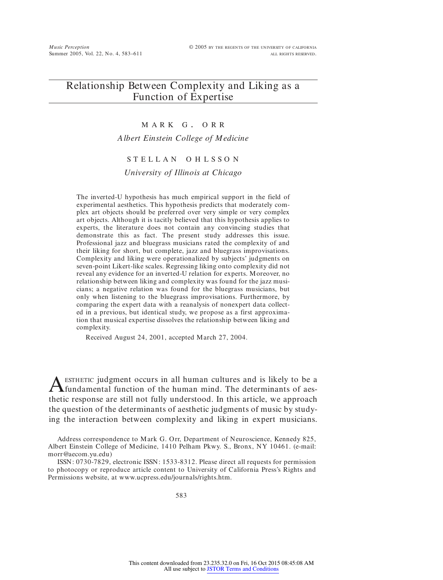# Relationship Between Complexity and Liking as a Function of Expertise

# MARK G . ORR

### *Albert Einstein College of Medicine*

### STELLAN O H LSSO N

#### *University of Illinois at Chicago*

The inverted-U hypothesis has much empirical support in the field of experimental aesthetics. This hypothesis predicts that moderately complex art objects should be preferred over very simple or very complex art objects. Although it is tacitly believed that this hypothesis applies to experts, the literature does not contain any convincing studies that demonstrate this as fact. The present study addresses this issue. Professional jazz and bluegrass musicians rated the complexity of and their liking for short, but complete, jazz and bluegrass improvisations. Complexity and liking were operationalized by subjects' judgments on seven-point Likert-like scales. Regressing liking onto complexity did not reveal any evidence for an inverted-U relation for experts. Moreover, no relationship between liking and complexity was found for the jazz musicians; a negative relation was found for the bluegrass musicians, but only when listening to the bluegrass improvisations. Furthermore, by comparing the expert data with a reanalysis of nonexpert data collected in a previous, but identical study, we propose as a first approximation that musical expertise dissolves the relationship between liking and complexity.

Received August 24, 2001, accepted March 27, 2004.

A ESTHETIC judgment occurs in all human cultures and is likely to be a fundamental function of the human mind. The determinants of aes-ESTHETIC judgment occurs in all human cultures and is likely to be a thetic response are still not fully understood. In this article, we approach the question of the determinants of aesthetic judgments of music by studying the interaction between complexity and liking in expert musicians.

Address correspondence to Mark G. Orr, Department of Neuroscience, Kennedy 825, Albert Einstein College of Medicine, 1410 Pelham Pkwy. S., Bronx, NY 10461. (e-mail: morr@aecom.yu.edu)

ISSN: 0730-7829, electronic ISSN: 1533-8312. Please direct all requests for permission to photocopy or reproduce article content to University of California Press's Rights and Permissions website, at www.ucpress.edu/journals/rights.htm.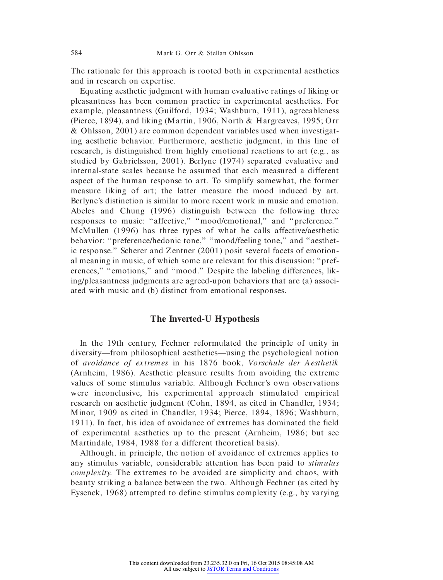The rationale for this approach is rooted both in experimental aesthetics and in research on expertise.

Equating aesthetic judgment with human evaluative ratings of liking or pleasantness has been common practice in experimental aesthetics. For example, pleasantness (Guilford, 1934; Washburn, 1911), agreeableness (Pierce, 1894), and liking (Martin, 1906, North & Hargreaves, 1995; Orr & Ohlsson, 2001) are common dependent variables used when investigating aesthetic behavior. Furthermore, aesthetic judgment, in this line of research, is distinguished from highly emotional reactions to art (e.g., as studied by Gabrielsson, 2001). Berlyne (1974) separated evaluative and internal-state scales because he assumed that each measured a different aspect of the human response to art. To simplify somewhat, the former measure liking of art; the latter measure the mood induced by art. Berlyne's distinction is similar to more recent work in music and emotion. Abeles and Chung (1996) distinguish between the following three responses to music: "affective," "mood/emotional," and "preference." McMullen (1996) has three types of what he calls affective/aesthetic behavior: "preference/hedonic tone," "mood/feeling tone," and "aesthetic response." Scherer and Zentner (2001) posit several facets of emotional meaning in music, of which some are relevant for this discussion: "preferences," "emotions," and "mood." Despite the labeling differences, liking/pleasantness judgments are agreed-upon behaviors that are (a) associated with music and (b) distinct from emotional responses.

# **The Inverted-U Hypothesis**

In the 19th century, Fechner reformulated the principle of unity in diversity—from philosophical aesthetics—using the psychological notion of *avoidance of extremes* in his 1876 book, *Vorschule der Aesthetik* (Arnheim, 1986). Aesthetic pleasure results from avoiding the extreme values of some stimulus variable. Although Fechner's own observations were inconclusive, his experimental approach stimulated empirical research on aesthetic judgment (Cohn, 1894, as cited in Chandler, 1934; Minor, 1909 as cited in Chandler, 1934; Pierce, 1894, 1896; Washburn, 1911). In fact, his idea of avoidance of extremes has dominated the field of experimental aesthetics up to the present (Arnheim, 1986; but see Martindale, 1984, 1988 for a different theoretical basis).

Although, in principle, the notion of avoidance of extremes applies to any stimulus variable, considerable attention has been paid to *stimulus complexity.* The extremes to be avoided are simplicity and chaos, with beauty striking a balance between the two. Although Fechner (as cited by Eysenck, 1968) attempted to define stimulus complexity (e.g., by varying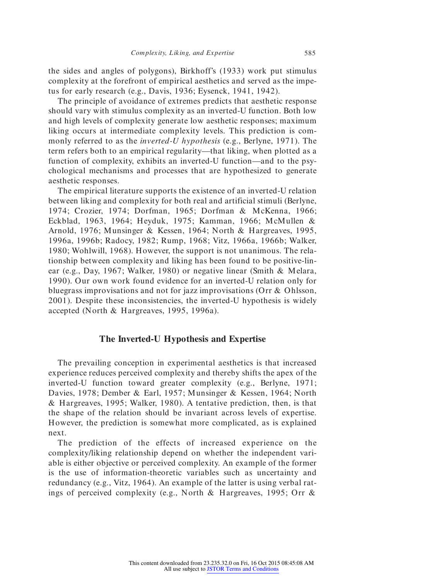the sides and angles of polygons), Birkhoff's (1933) work put stimulus complexity at the forefront of empirical aesthetics and served as the impetus for early research (e.g., Davis, 1936; Eysenck, 1941, 1942).

The principle of avoidance of extremes predicts that aesthetic response should vary with stimulus complexity as an inverted-U function. Both low and high levels of complexity generate low aesthetic responses; maximum liking occurs at intermediate complexity levels. This prediction is commonly referred to as the *inverted-U hypothesis* (e.g., Berlyne, 1971). The term refers both to an empirical regularity—that liking, when plotted as a function of complexity, exhibits an inverted-U function—and to the psychological mechanisms and processes that are hypothesized to generate aesthetic responses.

The empirical literature supports the existence of an inverted-U relation between liking and complexity for both real and artificial stimuli (Berlyne, 1974; Crozier, 1974; Dorfman, 1965; Dorfman & McKenna, 1966; Eckblad, 1963, 1964; Heyduk, 1975; Kamman, 1966; McMullen & Arnold, 1976; Munsinger & Kessen, 1964; North & Hargreaves, 1995, 1996a, 1996b; Radocy, 1982; Rump, 1968; Vitz, 1966a, 1966b; Walker, 1980; Wohlwill, 1968). However, the support is not unanimous. The relationship between complexity and liking has been found to be positive-linear (e.g., Day, 1967; Walker, 1980) or negative linear (Smith & Melara, 1990). Our own work found evidence for an inverted-U relation only for bluegrass improvisations and not for jazz improvisations (Orr & Ohlsson, 2001). Despite these inconsistencies, the inverted-U hypothesis is widely accepted (North & Hargreaves, 1995, 1996a).

### **The Inverted-U Hypothesis and Expertise**

The prevailing conception in experimental aesthetics is that increased experience reduces perceived complexity and thereby shifts the apex of the inverted-U function toward greater complexity (e.g., Berlyne, 1971; Davies, 1978; Dember & Earl, 1957; Munsinger & Kessen, 1964; North & Hargreaves, 1995; Walker, 1980). A tentative prediction, then, is that the shape of the relation should be invariant across levels of expertise. However, the prediction is somewhat more complicated, as is explained next.

The prediction of the effects of increased experience on the complexity/liking relationship depend on whether the independent variable is either objective or perceived complexity. An example of the former is the use of information-theoretic variables such as uncertainty and redundancy (e.g., Vitz, 1964). An example of the latter is using verbal ratings of perceived complexity (e.g., North & Hargreaves, 1995; Orr &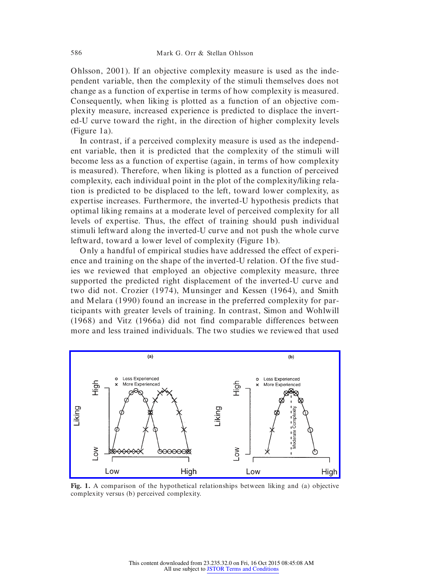Ohlsson, 2001). If an objective complexity measure is used as the independent variable, then the complexity of the stimuli themselves does not change as a function of expertise in terms of how complexity is measured. Consequently, when liking is plotted as a function of an objective complexity measure, increased experience is predicted to displace the inverted-U curve toward the right, in the direction of higher complexity levels (Figure 1a).

In contrast, if a perceived complexity measure is used as the independent variable, then it is predicted that the complexity of the stimuli will become less as a function of expertise (again, in terms of how complexity is measured). Therefore, when liking is plotted as a function of perceived complexity, each individual point in the plot of the complexity/liking relation is predicted to be displaced to the left, toward lower complexity, as expertise increases. Furthermore, the inverted-U hypothesis predicts that optimal liking remains at a moderate level of perceived complexity for all levels of expertise. Thus, the effect of training should push individual stimuli leftward along the inverted-U curve and not push the whole curve leftward, toward a lower level of complexity (Figure 1b).

Only a handful of empirical studies have addressed the effect of experience and training on the shape of the inverted-U relation. Of the five studies we reviewed that employed an objective complexity measure, three supported the predicted right displacement of the inverted-U curve and two did not. Crozier (1974), Munsinger and Kessen (1964), and Smith and Melara (1990) found an increase in the preferred complexity for participants with greater levels of training. In contrast, Simon and Wohlwill (1968) and Vitz (1966a) did not find comparable differences between more and less trained individuals. The two studies we reviewed that used



**Fig. 1.** A comparison of the hypothetical relationships between liking and (a) objective complexity versus (b) perceived complexity.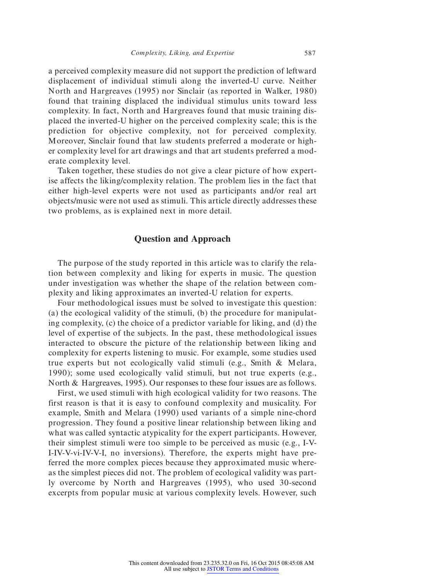a perceived complexity measure did not support the prediction of leftward displacement of individual stimuli along the inverted-U curve. Neither North and Hargreaves (1995) nor Sinclair (as reported in Walker, 1980) found that training displaced the individual stimulus units toward less complexity. In fact, North and Hargreaves found that music training displaced the inverted-U higher on the perceived complexity scale; this is the prediction for objective complexity, not for perceived complexity. Moreover, Sinclair found that law students preferred a moderate or higher complexity level for art drawings and that art students preferred a moderate complexity level.

Taken together, these studies do not give a clear picture of how expertise affects the liking/complexity relation. The problem lies in the fact that either high-level experts were not used as participants and/or real art objects/music were not used as stimuli. This article directly addresses these two problems, as is explained next in more detail.

# **Question and Approach**

The purpose of the study reported in this article was to clarify the relation between complexity and liking for experts in music. The question under investigation was whether the shape of the relation between complexity and liking approximates an inverted-U relation for experts.

Four methodological issues must be solved to investigate this question: (a) the ecological validity of the stimuli, (b) the procedure for manipulating complexity, (c) the choice of a predictor variable for liking, and (d) the level of expertise of the subjects. In the past, these methodological issues interacted to obscure the picture of the relationship between liking and complexity for experts listening to music. For example, some studies used true experts but not ecologically valid stimuli (e.g., Smith & Melara, 1990); some used ecologically valid stimuli, but not true experts (e.g., North & Hargreaves, 1995). Our responses to these four issues are as follows.

First, we used stimuli with high ecological validity for two reasons. The first reason is that it is easy to confound complexity and musicality. For example, Smith and Melara (1990) used variants of a simple nine-chord progression. They found a positive linear relationship between liking and what was called syntactic atypicality for the expert participants. However, their simplest stimuli were too simple to be perceived as music (e.g., I-V-I-IV-V-vi-IV-V-I, no inversions). Therefore, the experts might have preferred the more complex pieces because they approximated music whereas the simplest pieces did not. The problem of ecological validity was partly overcome by North and Hargreaves (1995), who used 30-second excerpts from popular music at various complexity levels. However, such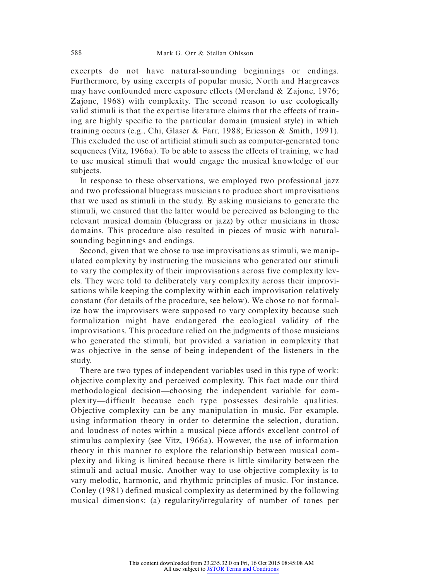excerpts do not have natural-sounding beginnings or endings. Furthermore, by using excerpts of popular music, North and Hargreaves may have confounded mere exposure effects (Moreland & Zajonc, 1976; Zajonc, 1968) with complexity. The second reason to use ecologically valid stimuli is that the expertise literature claims that the effects of training are highly specific to the particular domain (musical style) in which training occurs (e.g., Chi, Glaser & Farr, 1988; Ericsson & Smith, 1991). This excluded the use of artificial stimuli such as computer-generated tone sequences (Vitz, 1966a). To be able to assess the effects of training, we had to use musical stimuli that would engage the musical knowledge of our subjects.

In response to these observations, we employed two professional jazz and two professional bluegrass musicians to produce short improvisations that we used as stimuli in the study. By asking musicians to generate the stimuli, we ensured that the latter would be perceived as belonging to the relevant musical domain (bluegrass or jazz) by other musicians in those domains. This procedure also resulted in pieces of music with naturalsounding beginnings and endings.

Second, given that we chose to use improvisations as stimuli, we manipulated complexity by instructing the musicians who generated our stimuli to vary the complexity of their improvisations across five complexity levels. They were told to deliberately vary complexity across their improvisations while keeping the complexity within each improvisation relatively constant (for details of the procedure, see below). We chose to not formalize how the improvisers were supposed to vary complexity because such formalization might have endangered the ecological validity of the improvisations. This procedure relied on the judgments of those musicians who generated the stimuli, but provided a variation in complexity that was objective in the sense of being independent of the listeners in the study.

There are two types of independent variables used in this type of work: objective complexity and perceived complexity. This fact made our third methodological decision—choosing the independent variable for complexity—difficult because each type possesses desirable qualities. Objective complexity can be any manipulation in music. For example, using information theory in order to determine the selection, duration, and loudness of notes within a musical piece affords excellent control of stimulus complexity (see Vitz, 1966a). However, the use of information theory in this manner to explore the relationship between musical complexity and liking is limited because there is little similarity between the stimuli and actual music. Another way to use objective complexity is to vary melodic, harmonic, and rhythmic principles of music. For instance, Conley (1981) defined musical complexity as determined by the following musical dimensions: (a) regularity/irregularity of number of tones per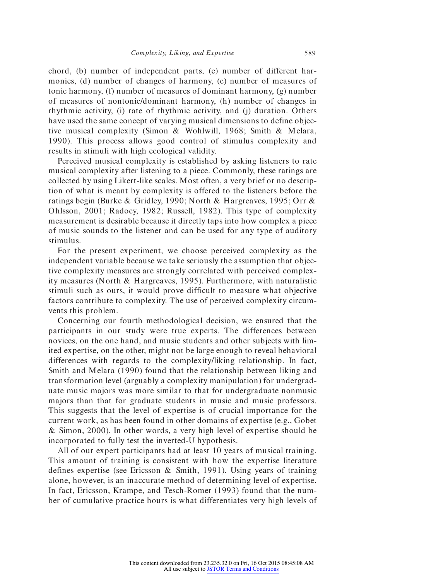chord, (b) number of independent parts, (c) number of different harmonies, (d) number of changes of harmony, (e) number of measures of tonic harmony, (f) number of measures of dominant harmony, (g) number of measures of nontonic/dominant harmony, (h) number of changes in rhythmic activity, (i) rate of rhythmic activity, and (j) duration. Others have used the same concept of varying musical dimensions to define objective musical complexity (Simon & Wohlwill, 1968; Smith & Melara, 1990). This process allows good control of stimulus complexity and results in stimuli with high ecological validity.

Perceived musical complexity is established by asking listeners to rate musical complexity after listening to a piece. Commonly, these ratings are collected by using Likert-like scales. Most often, a very brief or no description of what is meant by complexity is offered to the listeners before the ratings begin (Burke & Gridley, 1990; North & Hargreaves, 1995; Orr & Ohlsson, 2001; Radocy, 1982; Russell, 1982). This type of complexity measurement is desirable because it directly taps into how complex a piece of music sounds to the listener and can be used for any type of auditory stimulus.

For the present experiment, we choose perceived complexity as the independent variable because we take seriously the assumption that objective complexity measures are strongly correlated with perceived complexity measures (North & Hargreaves, 1995). Furthermore, with naturalistic stimuli such as ours, it would prove difficult to measure what objective factors contribute to complexity. The use of perceived complexity circumvents this problem.

Concerning our fourth methodological decision, we ensured that the participants in our study were true experts. The differences between novices, on the one hand, and music students and other subjects with limited expertise, on the other, might not be large enough to reveal behavioral differences with regards to the complexity/liking relationship. In fact, Smith and Melara (1990) found that the relationship between liking and transformation level (arguably a complexity manipulation) for undergraduate music majors was more similar to that for undergraduate nonmusic majors than that for graduate students in music and music professors. This suggests that the level of expertise is of crucial importance for the current work, as has been found in other domains of expertise (e.g., Gobet & Simon, 2000). In other words, a very high level of expertise should be incorporated to fully test the inverted-U hypothesis.

All of our expert participants had at least 10 years of musical training. This amount of training is consistent with how the expertise literature defines expertise (see Ericsson & Smith, 1991). Using years of training alone, however, is an inaccurate method of determining level of expertise. In fact, Ericsson, Krampe, and Tesch-Romer (1993) found that the number of cumulative practice hours is what differentiates very high levels of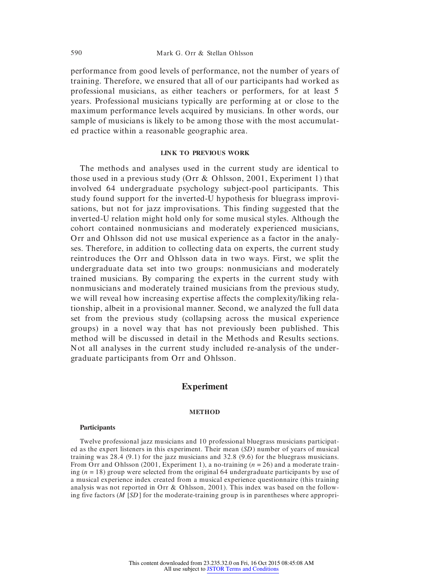performance from good levels of performance, not the number of years of training. Therefore, we ensured that all of our participants had worked as professional musicians, as either teachers or performers, for at least 5 years. Professional musicians typically are performing at or close to the maximum performance levels acquired by musicians. In other words, our sample of musicians is likely to be among those with the most accumulated practice within a reasonable geographic area.

#### **LINK TO PREVIOUS WORK**

The methods and analyses used in the current study are identical to those used in a previous study (Orr & Ohlsson, 2001, Experiment 1) that involved 64 undergraduate psychology subject-pool participants. This study found support for the inverted-U hypothesis for bluegrass improvisations, but not for jazz improvisations. This finding suggested that the inverted-U relation might hold only for some musical styles. Although the cohort contained nonmusicians and moderately experienced musicians, Orr and Ohlsson did not use musical experience as a factor in the analyses. Therefore, in addition to collecting data on experts, the current study reintroduces the Orr and Ohlsson data in two ways. First, we split the undergraduate data set into two groups: nonmusicians and moderately trained musicians. By comparing the experts in the current study with nonmusicians and moderately trained musicians from the previous study, we will reveal how increasing expertise affects the complexity/liking relationship, albeit in a provisional manner. Second, we analyzed the full data set from the previous study (collapsing across the musical experience groups) in a novel way that has not previously been published. This method will be discussed in detail in the Methods and Results sections. Not all analyses in the current study included re-analysis of the undergraduate participants from Orr and Ohlsson.

# **Experiment**

#### **METHOD**

#### **Participants**

Twelve professional jazz musicians and 10 professional bluegrass musicians participated as the expert listeners in this experiment. Their mean (*SD*) number of years of musical training was 28.4 (9.1) for the jazz musicians and 32.8 (9.6) for the bluegrass musicians. From Orr and Ohlsson (2001, Experiment 1), a no-training (*n* = 26) and a moderate training  $(n = 18)$  group were selected from the original 64 undergraduate participants by use of a musical experience index created from a musical experience questionnaire (this training analysis was not reported in Orr & Ohlsson, 2001). This index was based on the following five factors (*M* [*SD*] for the moderate-training group is in parentheses where appropri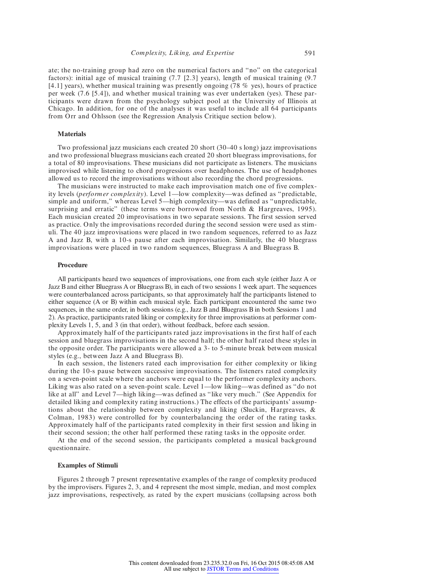ate; the no-training group had zero on the numerical factors and "no" on the categorical factors): initial age of musical training (7.7 [2.3] years), length of musical training (9.7 [4.1] years), whether musical training was presently ongoing (78 % yes), hours of practice per week (7.6 [5.4]), and whether musical training was ever undertaken (yes). These participants were drawn from the psychology subject pool at the University of Illinois at Chicago. In addition, for one of the analyses it was useful to include all 64 participants from Orr and Ohlsson (see the Regression Analysis Critique section below).

#### **Materials**

Two professional jazz musicians each created 20 short (30–40 s long) jazz improvisations and two professional bluegrass musicians each created 20 short bluegrass improvisations, for a total of 80 improvisations. These musicians did not participate as listeners. The musicians improvised while listening to chord progressions over headphones. The use of headphones allowed us to record the improvisations without also recording the chord progressions.

The musicians were instructed to make each improvisation match one of five complexity levels (*performer complexity*). Level 1—low complexity—was defined as "predictable, simple and uniform," whereas Level 5—high complexity—was defined as "unpredictable, surprising and erratic" (these terms were borrowed from North & Hargreaves, 1995). Each musician created 20 improvisations in two separate sessions. The first session served as practice. Only the improvisations recorded during the second session were used as stimuli. The 40 jazz improvisations were placed in two random sequences, referred to as Jazz A and Jazz B, with a 10-s pause after each improvisation. Similarly, the 40 bluegrass improvisations were placed in two random sequences, Bluegrass A and Bluegrass B.

#### **Procedure**

All participants heard two sequences of improvisations, one from each style (either Jazz A or Jazz B and either Bluegrass A or Bluegrass B), in each of two sessions 1 week apart. The sequences were counterbalanced across participants, so that approximately half the participants listened to either sequence (A or B) within each musical style. Each participant encountered the same two sequences, in the same order, in both sessions (e.g., Jazz B and Bluegrass B in both Sessions 1 and 2). As practice, participants rated liking or complexity for three improvisations at performer complexity Levels 1, 5, and 3 (in that order), without feedback, before each session.

Approximately half of the participants rated jazz improvisations in the first half of each session and bluegrass improvisations in the second half; the other half rated these styles in the opposite order. The participants were allowed a 3- to 5-minute break between musical styles (e.g., between Jazz A and Bluegrass B).

In each session, the listeners rated each improvisation for either complexity or liking during the 10-s pause between successive improvisations. The listeners rated complexity on a seven-point scale where the anchors were equal to the performer complexity anchors. Liking was also rated on a seven-point scale. Level 1—low liking—was defined as "do not like at all" and Level 7—high liking—was defined as "like very much." (See Appendix for detailed liking and complexity rating instructions.) The effects of the participants' assumptions about the relationship between complexity and liking (Sluckin, Hargreaves,  $\&$ Colman, 1983) were controlled for by counterbalancing the order of the rating tasks. Approximately half of the participants rated complexity in their first session and liking in their second session; the other half performed these rating tasks in the opposite order.

At the end of the second session, the participants completed a musical background questionnaire.

#### **Examples of Stimuli**

Figures 2 through 7 present representative examples of the range of complexity produced by the improvisers. Figures 2, 3, and 4 represent the most simple, median, and most complex jazz improvisations, respectively, as rated by the expert musicians (collapsing across both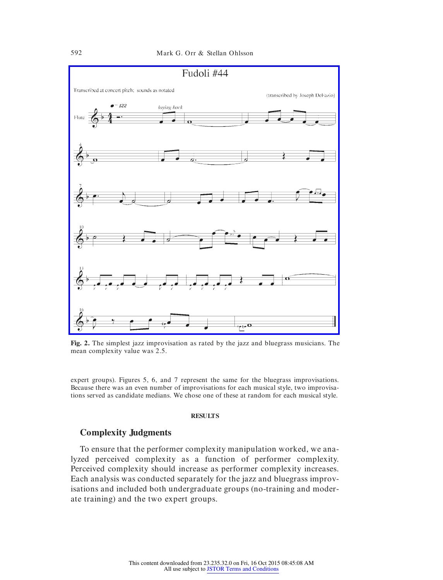

**Fig. 2.** The simplest jazz improvisation as rated by the jazz and bluegrass musicians. The mean complexity value was 2.5.

expert groups). Figures 5, 6, and 7 represent the same for the bluegrass improvisations. Because there was an even number of improvisations for each musical style, two improvisations served as candidate medians. We chose one of these at random for each musical style.

#### **RESULTS**

## **Complexity Judgments**

To ensure that the performer complexity manipulation worked, we analyzed perceived complexity as a function of performer complexity. Perceived complexity should increase as performer complexity increases. Each analysis was conducted separately for the jazz and bluegrass improvisations and included both undergraduate groups (no-training and moderate training) and the two expert groups.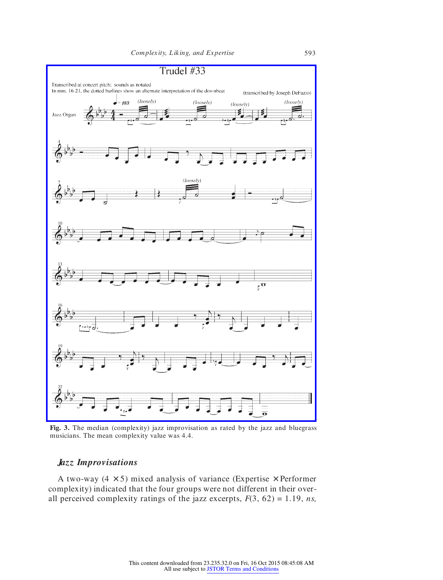

**Fig. 3.** The median (complexity) jazz improvisation as rated by the jazz and bluegrass musicians. The mean complexity value was 4.4.

## *Jazz Improvisations*

A two-way  $(4 \times 5)$  mixed analysis of variance (Expertise  $\times$  Performer complexity) indicated that the four groups were not different in their overall perceived complexity ratings of the jazz excerpts,  $F(3, 62) = 1.19$ , *ns*,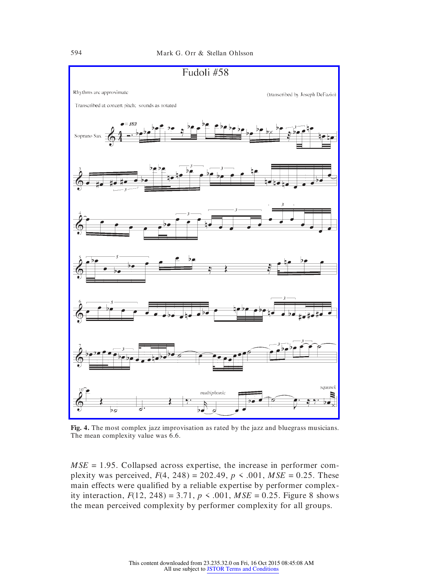

**Fig. 4.** The most complex jazz improvisation as rated by the jazz and bluegrass musicians. The mean complexity value was 6.6.

*MSE* = 1.95. Collapsed across expertise, the increase in performer complexity was perceived,  $F(4, 248) = 202.49$ ,  $p \le .001$ ,  $MSE = 0.25$ . These main effects were qualified by a reliable expertise by performer complexity interaction,  $F(12, 248) = 3.71$ ,  $p \le .001$ ,  $MSE = 0.25$ . Figure 8 shows the mean perceived complexity by performer complexity for all groups.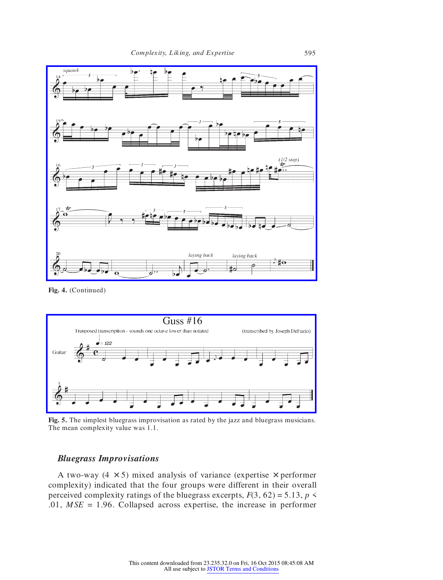

**Fig. 4.** (Continued)



**Fig. 5.** The simplest bluegrass improvisation as rated by the jazz and bluegrass musicians. The mean complexity value was 1.1.

# *Bluegrass Improvisations*

A two-way  $(4 \times 5)$  mixed analysis of variance (expertise  $\times$  performer complexity) indicated that the four groups were different in their overall perceived complexity ratings of the bluegrass excerpts,  $F(3, 62) = 5.13$ ,  $p \le$ .01, *MSE* = 1.96. Collapsed across expertise, the increase in performer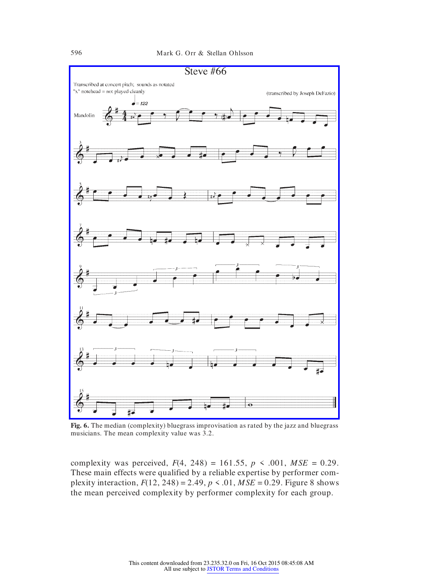

**Fig. 6.** The median (complexity) bluegrass improvisation as rated by the jazz and bluegrass musicians. The mean complexity value was 3.2.

complexity was perceived,  $F(4, 248) = 161.55$ ,  $p \le .001$ ,  $MSE = 0.29$ . These main effects were qualified by a reliable expertise by performer complexity interaction,  $F(12, 248) = 2.49$ ,  $p < .01$ ,  $MSE = 0.29$ . Figure 8 shows the mean perceived complexity by performer complexity for each group.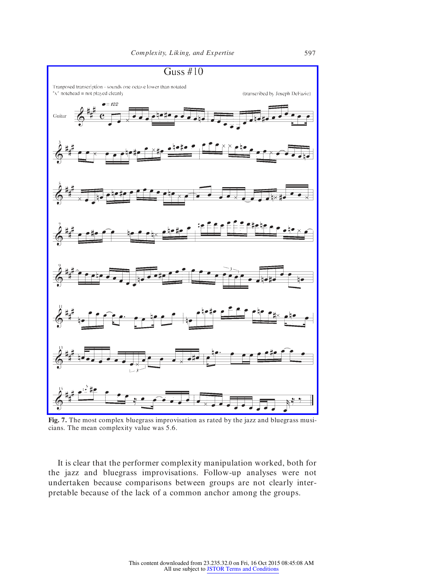

**Fig. 7.** The most complex bluegrass improvisation as rated by the jazz and bluegrass musicians. The mean complexity value was 5.6.

It is clear that the performer complexity manipulation worked, both for the jazz and bluegrass improvisations. Follow-up analyses were not undertaken because comparisons between groups are not clearly interpretable because of the lack of a common anchor among the groups.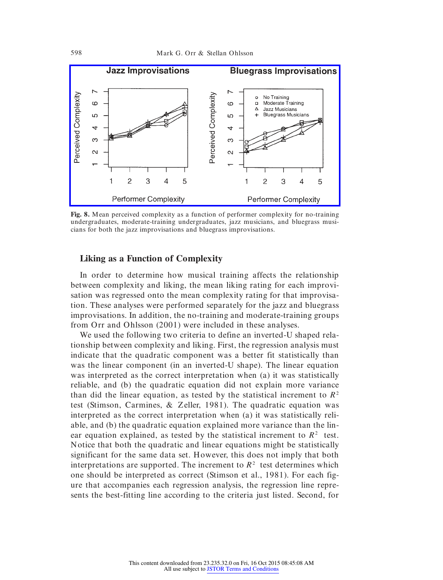

**Fig. 8.** Mean perceived complexity as a function of performer complexity for no-training undergraduates, moderate-training undergraduates, jazz musicians, and bluegrass musicians for both the jazz improvisations and bluegrass improvisations.

# **Liking as a Function of Complexity**

In order to determine how musical training affects the relationship between complexity and liking, the mean liking rating for each improvisation was regressed onto the mean complexity rating for that improvisation. These analyses were performed separately for the jazz and bluegrass improvisations. In addition, the no-training and moderate-training groups from Orr and Ohlsson (2001) were included in these analyses.

We used the following two criteria to define an inverted-U shaped relationship between complexity and liking. First, the regression analysis must indicate that the quadratic component was a better fit statistically than was the linear component (in an inverted-U shape). The linear equation was interpreted as the correct interpretation when (a) it was statistically reliable, and (b) the quadratic equation did not explain more variance than did the linear equation, as tested by the statistical increment to *R* 2 test (Stimson, Carmines, & Zeller, 1981). The quadratic equation was interpreted as the correct interpretation when (a) it was statistically reliable, and (b) the quadratic equation explained more variance than the linear equation explained, as tested by the statistical increment to  $R<sup>2</sup>$  test. Notice that both the quadratic and linear equations might be statistically significant for the same data set. However, this does not imply that both interpretations are supported. The increment to  $R<sup>2</sup>$  test determines which one should be interpreted as correct (Stimson et al., 1981). For each figure that accompanies each regression analysis, the regression line represents the best-fitting line according to the criteria just listed. Second, for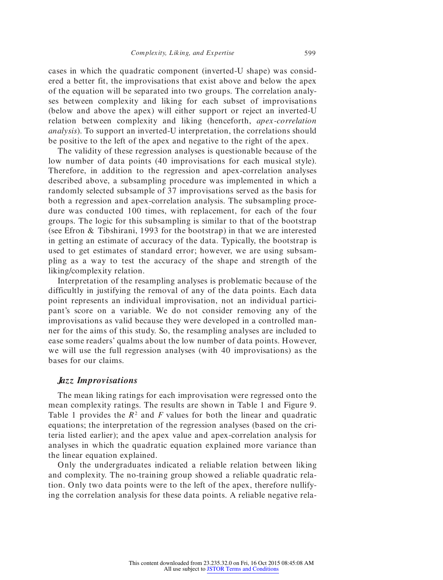cases in which the quadratic component (inverted-U shape) was considered a better fit, the improvisations that exist above and below the apex of the equation will be separated into two groups. The correlation analyses between complexity and liking for each subset of improvisations (below and above the apex) will either support or reject an inverted-U relation between complexity and liking (henceforth, *apex-correlation analysis*). To support an inverted-U interpretation, the correlations should be positive to the left of the apex and negative to the right of the apex.

The validity of these regression analyses is questionable because of the low number of data points (40 improvisations for each musical style). Therefore, in addition to the regression and apex-correlation analyses described above, a subsampling procedure was implemented in which a randomly selected subsample of 37 improvisations served as the basis for both a regression and apex-correlation analysis. The subsampling procedure was conducted 100 times, with replacement, for each of the four groups. The logic for this subsampling is similar to that of the bootstrap (see Efron & Tibshirani, 1993 for the bootstrap) in that we are interested in getting an estimate of accuracy of the data. Typically, the bootstrap is used to get estimates of standard error; however, we are using subsampling as a way to test the accuracy of the shape and strength of the liking/complexity relation.

Interpretation of the resampling analyses is problematic because of the difficultly in justifying the removal of any of the data points. Each data point represents an individual improvisation, not an individual participant's score on a variable. We do not consider removing any of the improvisations as valid because they were developed in a controlled manner for the aims of this study. So, the resampling analyses are included to ease some readers' qualms about the low number of data points. However, we will use the full regression analyses (with 40 improvisations) as the bases for our claims.

### *Jazz Improvisations*

The mean liking ratings for each improvisation were regressed onto the mean complexity ratings. The results are shown in Table 1 and Figure 9. Table 1 provides the *R* <sup>2</sup> and *F* values for both the linear and quadratic equations; the interpretation of the regression analyses (based on the criteria listed earlier); and the apex value and apex-correlation analysis for analyses in which the quadratic equation explained more variance than the linear equation explained.

Only the undergraduates indicated a reliable relation between liking and complexity. The no-training group showed a reliable quadratic relation. Only two data points were to the left of the apex, therefore nullifying the correlation analysis for these data points. A reliable negative rela-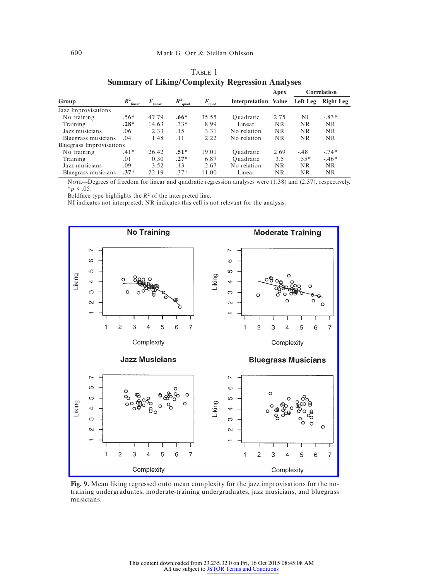|                          |                         |             | ិ                      |           |                             |           |             |           |
|--------------------------|-------------------------|-------------|------------------------|-----------|-----------------------------|-----------|-------------|-----------|
|                          |                         |             |                        |           |                             | Apex      | Correlation |           |
| Group                    | $R^2$ <sub>linear</sub> | F<br>linear | $\mathbb{R}^2$<br>quad | F<br>quad | <b>Interpretation Value</b> |           | Left Leg    | Right Leg |
| Jazz Improvisations      |                         |             |                        |           |                             |           |             |           |
| No training              | $.56*$                  | 47.79       | $.66*$                 | 35.55     | Quadratic                   | 2.75      | ΝI          | $-.83*$   |
| Training                 | $.28*$                  | 14.63       | $.33*$                 | 8.99      | Linear                      | <b>NR</b> | <b>NR</b>   | <b>NR</b> |
| Jazz musicians           | .06                     | 2.33        | .15                    | 3.31      | No relation                 | <b>NR</b> | <b>NR</b>   | <b>NR</b> |
| Bluegrass musicians      | .04                     | 1.48        | .11                    | 2.22      | No relation                 | NR        | <b>NR</b>   | <b>NR</b> |
| Bluegrass Improvisations |                         |             |                        |           |                             |           |             |           |
| No training              | $.41*$                  | 26.42       | $.51*$                 | 19.01     | Quadratic                   | 2.69      | $-.48$      | $-.74*$   |
| Training                 | .01                     | 0.30        | $.27*$                 | 6.87      | Quadratic                   | 3.5       | $.55*$      | $-.46*$   |
| Jazz musicians           | .09                     | 3.52        | .13                    | 2.67      | No relation                 | <b>NR</b> | <b>NR</b>   | <b>NR</b> |
| Bluegrass musicians      | $.37*$                  | 22.19       | $.37*$                 | 11.00     | Linear                      | ΝR        | <b>NR</b>   | <b>NR</b> |
|                          |                         |             |                        |           |                             |           |             |           |

TABLE 1 **Summary of Liking/Complexity Regression Analyses**

NOTE—Degrees of freedom for linear and quadratic regression analyses were (1,38) and (2,37), respectively.  $*_{p}$  < .05.

Boldface type highlights the  $R^2$  of the interpreted line.

NI indicates not interpreted; NR indicates this cell is not relevant for the analysis.



**Fig. 9.** Mean liking regressed onto mean complexity for the jazz improvisations for the notraining undergraduates, moderate-training undergraduates, jazz musicians, and bluegrass musicians.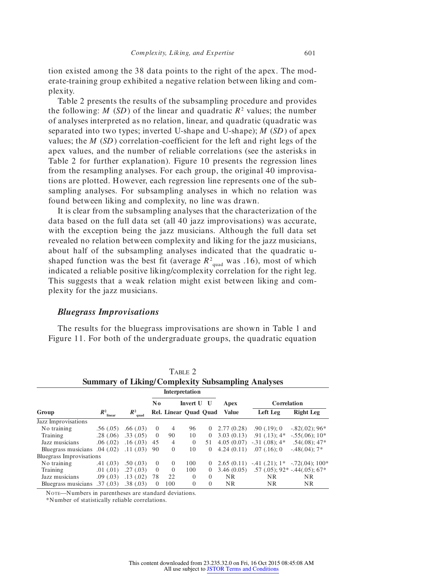tion existed among the 38 data points to the right of the apex. The moderate-training group exhibited a negative relation between liking and complexity.

Table 2 presents the results of the subsampling procedure and provides the following: *M* (*SD*) of the linear and quadratic *R* <sup>2</sup> values; the number of analyses interpreted as no relation, linear, and quadratic (quadratic was separated into two types; inverted U-shape and U-shape); *M* (*SD*) of apex values; the *M* (*SD*) correlation-coefficient for the left and right legs of the apex values, and the number of reliable correlations (see the asterisks in Table 2 for further explanation). Figure 10 presents the regression lines from the resampling analyses. For each group, the original 40 improvisations are plotted. However, each regression line represents one of the subsampling analyses. For subsampling analyses in which no relation was found between liking and complexity, no line was drawn.

It is clear from the subsampling analyses that the characterization of the data based on the full data set (all 40 jazz improvisations) was accurate, with the exception being the jazz musicians. Although the full data set revealed no relation between complexity and liking for the jazz musicians, about half of the subsampling analyses indicated that the quadratic ushaped function was the best fit (average  $R^2_{quad}$  was .16), most of which indicated a reliable positive liking/complexity correlation for the right leg. This suggests that a weak relation might exist between liking and complexity for the jazz musicians.

#### *Bluegrass Improvisations*

The results for the bluegrass improvisations are shown in Table 1 and Figure 11. For both of the undergraduate groups, the quadratic equation

**Interpretation No Invert U U Apex Correlation**  $G$ *R***2***R*  $R^2$ <sub>linear</sub>  $R^2$ <sub>quad</sub> **quad Rel. Linear Quad Quad Value Left Leg Right Leg** Jazz Improvisations No training .56 (.05) .66 (.03) 0 4 96 0 2.77 (0.28) .90 (.19); 0 -.82(.02); 96\*<br>Training .28 (.06) .33 (.05) 0 90 10 0 3.03 (0.13) .91 (.13); 4\* -.55(.06); 10\*

Jazz musicians  $0.06 (0.02) 0.16 (0.03) 45 4 0.51 4.05 (0.07) -0.31 (0.08); 4* 0.54(0.08); 47*$ Bluegrass musicians .04 (.02) .11 (.03) 90 0 10 0 4.24 (0.11) .07 (.16); 0 -.48(.04); 7\*

No training .41 (.03) .50 (.03) 0 0 100 0 2.65 (0.11) -.41 (.21); 1\* -.72(.04); 100\*<br>Training .01 (.01) .27 (.03) 0 0 100 0 3.46 (0.05) .57 (.05); 92\* -.44(.05); 67\*

Jazz musicians .09 (.03) .13 (.02) 78 22 0 0 NR NR NR

10 .28 (.06) .33 (.05) 0 90 10 0<br>.06 (.02) .16 (.03) 45 4 0 51

| TABLE 2                                                  |  |
|----------------------------------------------------------|--|
| <b>Summary of Liking/Complexity Subsampling Analyses</b> |  |
|                                                          |  |

NOTE—Numbers in parentheses are standard deviations.

\*Number of statistically reliable correlations.

Bluegrass musicians .37 (.03) .38 (.03) 0

Bluegrass Improvisations

0 0 100 0 3.46 (0.05) .57 (.05); 92 $*$  -.44(.05); 67 $*$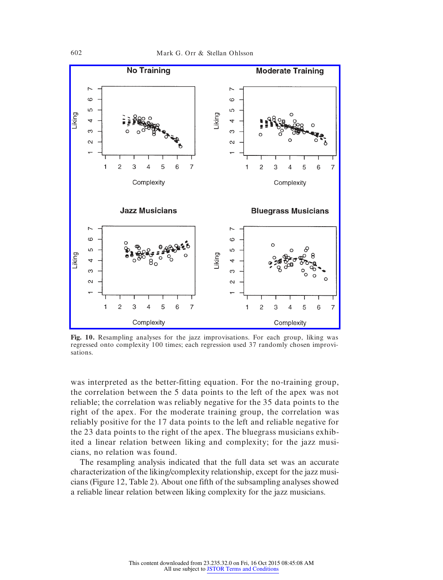

**Fig. 10.** Resampling analyses for the jazz improvisations. For each group, liking was regressed onto complexity 100 times; each regression used 37 randomly chosen improvisations.

was interpreted as the better-fitting equation. For the no-training group, the correlation between the 5 data points to the left of the apex was not reliable; the correlation was reliably negative for the 35 data points to the right of the apex. For the moderate training group, the correlation was reliably positive for the 17 data points to the left and reliable negative for the 23 data points to the right of the apex. The bluegrass musicians exhibited a linear relation between liking and complexity; for the jazz musicians, no relation was found.

The resampling analysis indicated that the full data set was an accurate characterization of the liking/complexity relationship, except for the jazz musicians (Figure 12, Table 2). About one fifth of the subsampling analyses showed a reliable linear relation between liking complexity for the jazz musicians.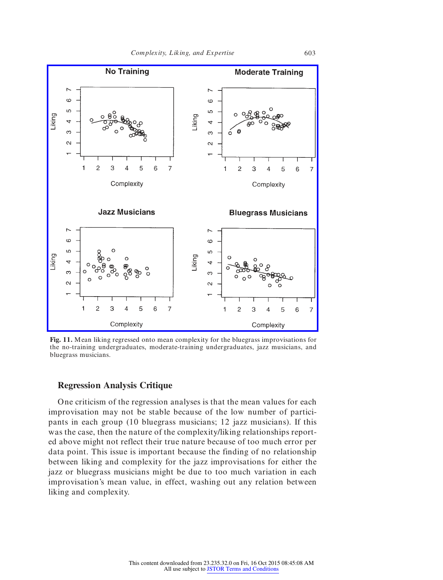

**Fig. 11.** Mean liking regressed onto mean complexity for the bluegrass improvisations for the no-training undergraduates, moderate-training undergraduates, jazz musicians, and bluegrass musicians.

### **Regression Analysis Critique**

One criticism of the regression analyses is that the mean values for each improvisation may not be stable because of the low number of participants in each group (10 bluegrass musicians; 12 jazz musicians). If this was the case, then the nature of the complexity/liking relationships reported above might not reflect their true nature because of too much error per data point. This issue is important because the finding of no relationship between liking and complexity for the jazz improvisations for either the jazz or bluegrass musicians might be due to too much variation in each improvisation's mean value, in effect, washing out any relation between liking and complexity.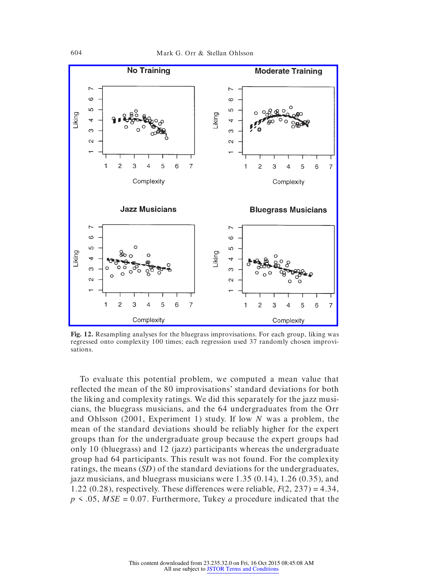

**Fig. 12.** Resampling analyses for the bluegrass improvisations. For each group, liking was regressed onto complexity 100 times; each regression used 37 randomly chosen improvisations.

To evaluate this potential problem, we computed a mean value that reflected the mean of the 80 improvisations' standard deviations for both the liking and complexity ratings. We did this separately for the jazz musicians, the bluegrass musicians, and the 64 undergraduates from the Orr and Ohlsson (2001, Experiment 1) study. If low *N* was a problem, the mean of the standard deviations should be reliably higher for the expert groups than for the undergraduate group because the expert groups had only 10 (bluegrass) and 12 (jazz) participants whereas the undergraduate group had 64 participants. This result was not found. For the complexity ratings, the means (*SD*) of the standard deviations for the undergraduates, jazz musicians, and bluegrass musicians were 1.35 (0.14), 1.26 (0.35), and 1.22 (0.28), respectively. These differences were reliable,  $F(2, 237) = 4.34$ ,  $p \le 0.05$ , *MSE* = 0.07. Furthermore, Tukey *a* procedure indicated that the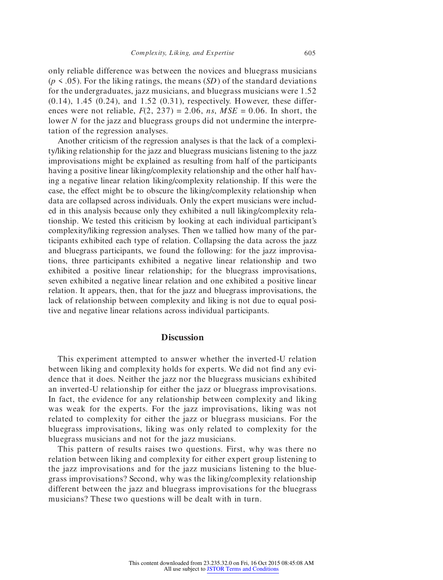only reliable difference was between the novices and bluegrass musicians  $(p \lt 0.05)$ . For the liking ratings, the means  $(SD)$  of the standard deviations for the undergraduates, jazz musicians, and bluegrass musicians were 1.52  $(0.14)$ , 1.45  $(0.24)$ , and 1.52  $(0.31)$ , respectively. However, these differences were not reliable,  $F(2, 237) = 2.06$ , *ns*,  $MSE = 0.06$ . In short, the lower N for the jazz and bluegrass groups did not undermine the interpretation of the regression analyses.

Another criticism of the regression analyses is that the lack of a complexity/liking relationship for the jazz and bluegrass musicians listening to the jazz improvisations might be explained as resulting from half of the participants having a positive linear liking/complexity relationship and the other half having a negative linear relation liking/complexity relationship. If this were the case, the effect might be to obscure the liking/complexity relationship when data are collapsed across individuals. Only the expert musicians were included in this analysis because only they exhibited a null liking/complexity relationship. We tested this criticism by looking at each individual participant's complexity/liking regression analyses. Then we tallied how many of the participants exhibited each type of relation. Collapsing the data across the jazz and bluegrass participants, we found the following: for the jazz improvisations, three participants exhibited a negative linear relationship and two exhibited a positive linear relationship; for the bluegrass improvisations, seven exhibited a negative linear relation and one exhibited a positive linear relation. It appears, then, that for the jazz and bluegrass improvisations, the lack of relationship between complexity and liking is not due to equal positive and negative linear relations across individual participants.

# **Discussion**

This experiment attempted to answer whether the inverted-U relation between liking and complexity holds for experts. We did not find any evidence that it does. Neither the jazz nor the bluegrass musicians exhibited an inverted-U relationship for either the jazz or bluegrass improvisations. In fact, the evidence for any relationship between complexity and liking was weak for the experts. For the jazz improvisations, liking was not related to complexity for either the jazz or bluegrass musicians. For the bluegrass improvisations, liking was only related to complexity for the bluegrass musicians and not for the jazz musicians.

This pattern of results raises two questions. First, why was there no relation between liking and complexity for either expert group listening to the jazz improvisations and for the jazz musicians listening to the bluegrass improvisations? Second, why was the liking/complexity relationship different between the jazz and bluegrass improvisations for the bluegrass musicians? These two questions will be dealt with in turn.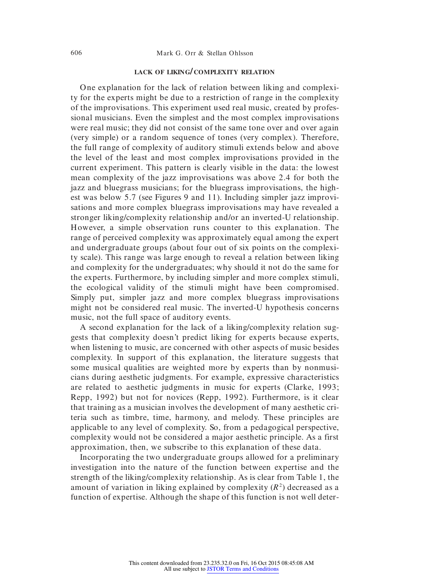### **LACK OF LIKING/ COMPLEXITY RELATION**

One explanation for the lack of relation between liking and complexity for the experts might be due to a restriction of range in the complexity of the improvisations. This experiment used real music, created by professional musicians. Even the simplest and the most complex improvisations were real music; they did not consist of the same tone over and over again (very simple) or a random sequence of tones (very complex). Therefore, the full range of complexity of auditory stimuli extends below and above the level of the least and most complex improvisations provided in the current experiment. This pattern is clearly visible in the data: the lowest mean complexity of the jazz improvisations was above 2.4 for both the jazz and bluegrass musicians; for the bluegrass improvisations, the highest was below 5.7 (see Figures 9 and 11). Including simpler jazz improvisations and more complex bluegrass improvisations may have revealed a stronger liking/complexity relationship and/or an inverted-U relationship. However, a simple observation runs counter to this explanation. The range of perceived complexity was approximately equal among the expert and undergraduate groups (about four out of six points on the complexity scale). This range was large enough to reveal a relation between liking and complexity for the undergraduates; why should it not do the same for the experts. Furthermore, by including simpler and more complex stimuli, the ecological validity of the stimuli might have been compromised. Simply put, simpler jazz and more complex bluegrass improvisations might not be considered real music. The inverted-U hypothesis concerns music, not the full space of auditory events.

A second explanation for the lack of a liking/complexity relation suggests that complexity doesn't predict liking for experts because experts, when listening to music, are concerned with other aspects of music besides complexity. In support of this explanation, the literature suggests that some musical qualities are weighted more by experts than by nonmusicians during aesthetic judgments. For example, expressive characteristics are related to aesthetic judgments in music for experts (Clarke, 1993; Repp, 1992) but not for novices (Repp, 1992). Furthermore, is it clear that training as a musician involves the development of many aesthetic criteria such as timbre, time, harmony, and melody. These principles are applicable to any level of complexity. So, from a pedagogical perspective, complexity would not be considered a major aesthetic principle. As a first approximation, then, we subscribe to this explanation of these data.

Incorporating the two undergraduate groups allowed for a preliminary investigation into the nature of the function between expertise and the strength of the liking/complexity relationship. As is clear from Table 1, the amount of variation in liking explained by complexity (*R* 2 ) decreased as a function of expertise. Although the shape of this function is not well deter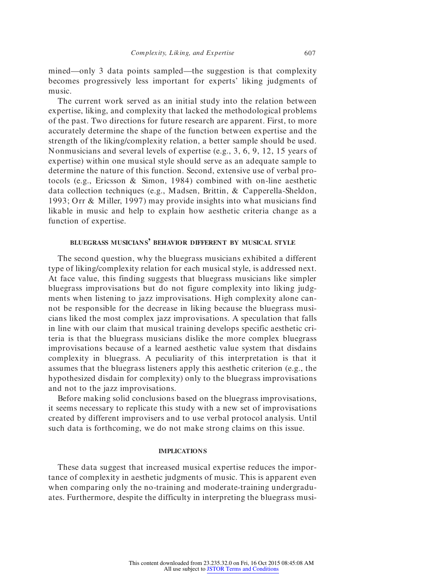mined—only 3 data points sampled—the suggestion is that complexity becomes progressively less important for experts' liking judgments of music.

The current work served as an initial study into the relation between expertise, liking, and complexity that lacked the methodological problems of the past. Two directions for future research are apparent. First, to more accurately determine the shape of the function between expertise and the strength of the liking/complexity relation, a better sample should be used. Nonmusicians and several levels of expertise (e.g., 3, 6, 9, 12, 15 years of expertise) within one musical style should serve as an adequate sample to determine the nature of this function. Second, extensive use of verbal protocols (e.g., Ericsson & Simon, 1984) combined with on-line aesthetic data collection techniques (e.g., Madsen, Brittin, & Capperella-Sheldon, 1993; Orr & Miller, 1997) may provide insights into what musicians find likable in music and help to explain how aesthetic criteria change as a function of expertise.

### **BLUEGRASS MUSICIANS' BEHAVIOR DIFFERENT BY MUSICAL STYLE**

The second question, why the bluegrass musicians exhibited a different type of liking/complexity relation for each musical style, is addressed next. At face value, this finding suggests that bluegrass musicians like simpler bluegrass improvisations but do not figure complexity into liking judgments when listening to jazz improvisations. High complexity alone cannot be responsible for the decrease in liking because the bluegrass musicians liked the most complex jazz improvisations. A speculation that falls in line with our claim that musical training develops specific aesthetic criteria is that the bluegrass musicians dislike the more complex bluegrass improvisations because of a learned aesthetic value system that disdains complexity in bluegrass. A peculiarity of this interpretation is that it assumes that the bluegrass listeners apply this aesthetic criterion (e.g., the hypothesized disdain for complexity) only to the bluegrass improvisations and not to the jazz improvisations.

Before making solid conclusions based on the bluegrass improvisations, it seems necessary to replicate this study with a new set of improvisations created by different improvisers and to use verbal protocol analysis. Until such data is forthcoming, we do not make strong claims on this issue.

#### **IMPLICATIONS**

These data suggest that increased musical expertise reduces the importance of complexity in aesthetic judgments of music. This is apparent even when comparing only the no-training and moderate-training undergraduates. Furthermore, despite the difficulty in interpreting the bluegrass musi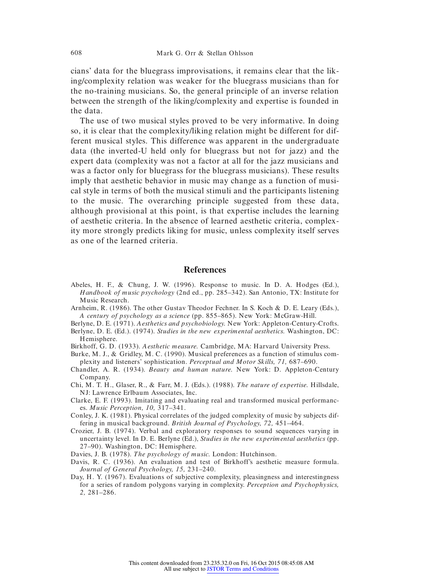cians' data for the bluegrass improvisations, it remains clear that the liking/complexity relation was weaker for the bluegrass musicians than for the no-training musicians. So, the general principle of an inverse relation between the strength of the liking/complexity and expertise is founded in the data.

The use of two musical styles proved to be very informative. In doing so, it is clear that the complexity/liking relation might be different for different musical styles. This difference was apparent in the undergraduate data (the inverted-U held only for bluegrass but not for jazz) and the expert data (complexity was not a factor at all for the jazz musicians and was a factor only for bluegrass for the bluegrass musicians). These results imply that aesthetic behavior in music may change as a function of musical style in terms of both the musical stimuli and the participants listening to the music. The overarching principle suggested from these data, although provisional at this point, is that expertise includes the learning of aesthetic criteria. In the absence of learned aesthetic criteria, complexity more strongly predicts liking for music, unless complexity itself serves as one of the learned criteria.

### **References**

- Abeles, H. F., & Chung, J. W. (1996). Response to music. In D. A. Hodges (Ed.), *Handbook of music psychology* (2nd ed., pp. 285–342). San Antonio, TX: Institute for Music Research.
- Arnheim, R. (1986). The other Gustav Theodor Fechner. In S. Koch & D. E. Leary (Eds.), *A century of psychology as a science* (pp. 855–865). New York: McGraw-Hill.
- Berlyne, D. E. (1971). *Aesthetics and psychobiology.* New York: Appleton-Century-Crofts.
- Berlyne, D. E. (Ed.). (1974). *Studies in the new experimental aesthetics.* Washington, DC: Hemisphere.
- Birkhoff, G. D. (1933). *Aesthetic measure.* Cambridge, MA: Harvard University Press.
- Burke, M. J., & Gridley, M. C. (1990). Musical preferences as a function of stimulus complexity and listeners' sophistication. *Perceptual and Motor Skills, 71,* 687–690.
- Chandler, A. R. (1934). *Beauty and human nature.* New York: D. Appleton-Century Company.
- Chi, M. T. H., Glaser, R., & Farr, M. J. (Eds.). (1988). *The nature of expertise.* Hillsdale, NJ: Lawrence Erlbaum Associates, Inc.
- Clarke, E. F. (1993). Imitating and evaluating real and transformed musical performances. *Music Perception, 10,* 317–341.
- Conley, J. K. (1981). Physical correlates of the judged complexity of music by subjects differing in musical background. *British Journal of Psychology, 72,* 451–464.
- Crozier, J. B. (1974). Verbal and exploratory responses to sound sequences varying in uncertainty level. In D. E. Berlyne (Ed.), *Studies in the new experimental aesthetics* (pp. 27–90). Washington, DC: Hemisphere.
- Davies, J. B. (1978). *The psychology of music.* London: Hutchinson.
- Davis, R. C. (1936). An evaluation and test of Birkhoff's aesthetic measure formula. *Journal of General Psychology, 15,* 231–240.
- Day, H. Y. (1967). Evaluations of subjective complexity, pleasingness and interestingness for a series of random polygons varying in complexity. *Perception and Psychophysics, 2,* 281–286.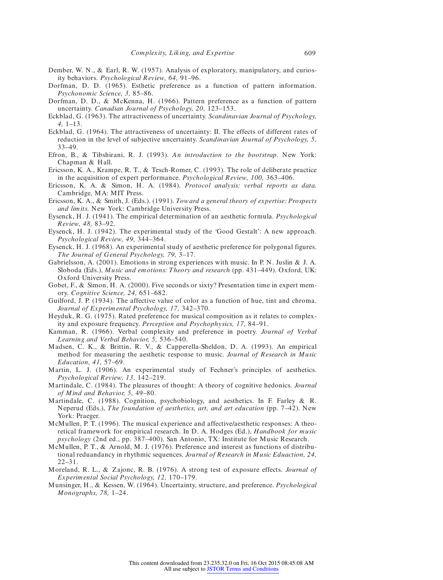- Dember, W. N., & Earl, R. W. (1957). Analysis of exploratory, manipulatory, and curiosity behaviors. *Psychological Review, 64,* 91–96.
- Dorfman, D. D. (1965). Esthetic preference as a function of pattern information. *Psychonomic Science, 3,* 85–86.
- Dorfman, D. D., & McKenna, H. (1966). Pattern preference as a function of pattern uncertainty. *Canadian Journal of Psychology, 20,* 123–153.
- Eckblad, G. (1963). The attractiveness of uncertainty. *Scandinavian Journal of Psychology, 4,* 1–13.
- Eckblad, G. (1964). The attractiveness of uncertainty: II. The effects of different rates of reduction in the level of subjective uncertainty. *Scandinavian Journal of Psychology, 5,* 33–49.
- Efron, B., & Tibshirani, R. J. (1993). *An introduction to the bootstrap.* New York: Chapman & Hall.
- Ericsson, K. A., Krampe, R. T., & Tesch-Romer, C. (1993). The role of deliberate practice in the acquisition of expert performance. *Psychological Review, 100,* 363–406.
- Ericsson, K. A. & Simon, H. A. (1984). *Protocol analysis: verbal reports as data.* Cambridge, MA: MIT Press.
- Ericsson, K. A., & Smith, J. (Eds.). (1991). *Toward a general theory of expertise: Prospects and limits.* New York: Cambridge University Press.
- Eysenck, H. J. (1941). The empirical determination of an aesthetic formula. *Psychological Review, 48,* 83–92.
- Eysenck, H. J. (1942). The experimental study of the 'Good Gestalt': A new approach. *Psychological Review, 49,* 344–364.
- Eysenck, H. J. (1968). An experimental study of aesthetic preference for polygonal figures. *The Journal of General Psychology, 79,* 3–17.
- Gabrielsson, A. (2001). Emotions in strong experiences with music. In P. N. Juslin & J. A. Sloboda (Eds.), *Music and emotions: Theory and research* (pp. 431–449). Oxford, UK: Oxford University Press.
- Gobet, F., & Simon, H. A. (2000). Five seconds or sixty? Presentation time in expert memory. *Cognitive Science, 24,* 651–682.
- Guilford, J. P. (1934). The affective value of color as a function of hue, tint and chroma. *Journal of Experimental Psychology, 17,* 342–370.
- Heyduk, R. G. (1975). Rated preference for musical composition as it relates to complexity and exposure frequency. *Perception and Psychophysics, 17,* 84–91.
- Kamman, R. (1966). Verbal complexity and preference in poetry. *Journal of Verbal Learning and Verbal Behavior, 5,* 536–540.
- Madsen, C. K., & Brittin, R. V., & Capperella-Sheldon, D. A. (1993). An empirical method for measuring the aesthetic response to music. *Journal of Research in Music Education, 41,* 57–69.
- Martin, L. J. (1906). An experimental study of Fechner's principles of aesthetics. *Psychological Review, 13,* 142–219.
- Martindale, C. (1984). The pleasures of thought: A theory of cognitive hedonics. *Journal of Mind and Behavior, 5,* 49–80.
- Martindale, C. (1988). Cognition, psychobiology, and aesthetics. In F. Farley & R. Neperud (Eds.), *The foundation of aesthetics, art, and art education* (pp. 7–42). New York: Praeger.
- McMullen, P. T. (1996). The musical experience and affective/aesthetic responses: A theoretical framework for empirical research. In D. A. Hodges (Ed.), *Handbook for music psychology* (2nd ed., pp. 387–400). San Antonio, TX: Institute for Music Research.
- McMullen, P. T., & Arnold, M. J. (1976). Preference and interest as functions of distributional reduandancy in rhythmic sequences. *Journal of Research in Music Eduaction, 24,* 22–31.
- Moreland, R. L., & Zajonc, R. B. (1976). A strong test of exposure effects. *Journal of Experimental Social Psychology, 12,* 170–179.
- Munsinger, H., & Kessen, W. (1964). Uncertainty, structure, and preference. *Psychological Monographs, 78,* 1–24.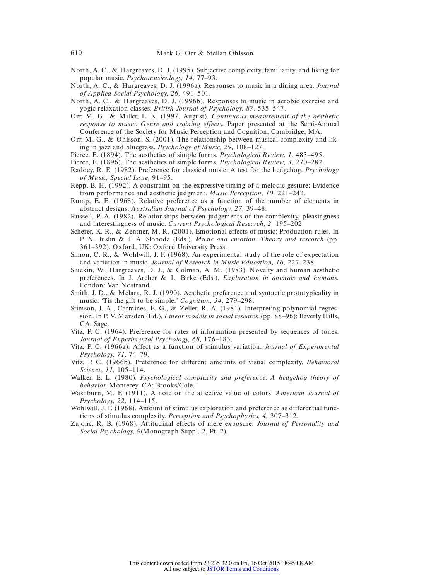- North, A. C., & Hargreaves, D. J. (1995). Subjective complexity, familiarity, and liking for popular music. *Psychomusicology, 14,* 77–93.
- North, A. C., & Hargreaves, D. J. (1996a). Responses to music in a dining area. *Journal of Applied Social Psychology, 26,* 491–501.
- North, A. C., & Hargreaves, D. J. (1996b). Responses to music in aerobic exercise and yogic relaxation classes. *British Journal of Psychology, 87,* 535–547.
- Orr, M. G., & Miller, L. K. (1997, August). *Continuous measurement of the aesthetic response to music: Genre and training effects.* Paper presented at the Semi-Annual Conference of the Society for Music Perception and Cognition, Cambridge, MA.
- Orr, M. G., & Ohlsson, S. (2001). The relationship between musical complexity and liking in jazz and bluegrass. *Psychology of Music, 29,* 108–127.
- Pierce, E. (1894). The aesthetics of simple forms. *Psychological Review, 1,* 483–495.
- Pierce, E. (1896). The aesthetics of simple forms. *Psychological Review, 3,* 270–282.
- Radocy, R. E. (1982). Preference for classical music: A test for the hedgehog. *Psychology of Music, Special Issue,* 91–95.
- Repp, B. H. (1992). A constraint on the expressive timing of a melodic gesture: Evidence from performance and aesthetic judgment. *Music Perception, 10,* 221–242.
- Rump, E. E. (1968). Relative preference as a function of the number of elements in abstract designs. *Australian Journal of Psychology, 27,* 39–48.
- Russell, P. A. (1982). Relationships between judgements of the complexity, pleasingness and interestingness of music. *Current Psychological Research, 2,* 195–202.
- Scherer, K. R., & Zentner, M. R. (2001). Emotional effects of music: Production rules. In P. N. Juslin & J. A. Sloboda (Eds.), *Music and emotion: Theory and research* (pp. 361–392). Oxford, UK: Oxford University Press.
- Simon, C. R., & Wohlwill, J. F. (1968). An experimental study of the role of expectation and variation in music. *Journal of Research in Music Education, 16,* 227–238.
- Sluckin, W., Hargreaves, D. J., & Colman, A. M. (1983). Novelty and human aesthetic preferences. In J. Archer & L. Birke (Eds.), *Exploration in animals and humans.* London: Van Nostrand.
- Smith, J. D., & Melara, R. J. (1990). Aesthetic preference and syntactic prototypicality in music: 'Tis the gift to be simple.' *Cognition, 34,* 279–298.
- Stimson, J. A., Carmines, E. G., & Zeller, R. A. (1981). Interpreting polynomial regression. In P. V. Marsden (Ed.), *Linear models in social research* (pp. 88–96): Beverly Hills, CA: Sage.
- Vitz, P. C. (1964). Preference for rates of information presented by sequences of tones. *Journal of Experimental Psychology, 68,* 176–183.
- Vitz, P. C. (1966a). Affect as a function of stimulus variation. *Journal of Experimental Psychology, 71,* 74–79.
- Vitz, P. C. (1966b). Preference for different amounts of visual complexity. *Behavioral Science, 11,* 105–114.
- Walker, E. L. (1980). *Psychological complexity and preference: A hedgehog theory of behavior.* Monterey, CA: Brooks/Cole.
- Washburn, M. F. (1911). A note on the affective value of colors. *American Journal of Psychology, 22,* 114–115.
- Wohlwill, J. F. (1968). Amount of stimulus exploration and preference as differential functions of stimulus complexity. *Perception and Psychophysics, 4,* 307–312.
- Zajonc, R. B. (1968). Attitudinal effects of mere exposure. *Journal of Personality and Social Psychology, 9*(Monograph Suppl. 2, Pt. 2).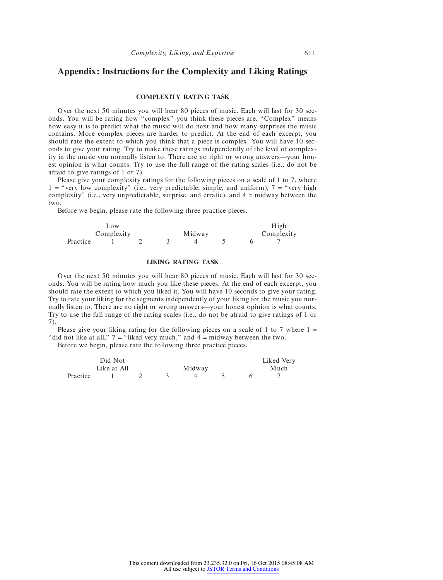# **Appendix: Instructions for the Complexity and Liking Ratings**

#### **COMPLEXITY RATING TASK**

Over the next 50 minutes you will hear 80 pieces of music. Each will last for 30 seconds. You will be rating how "complex" you think these pieces are. "Complex" means how easy it is to predict what the music will do next and how many surprises the music contains. More complex pieces are harder to predict. At the end of each excerpt, you should rate the extent to which you think that a piece is complex. You will have 10 seconds to give your rating. Try to make these ratings independently of the level of complexity in the music you normally listen to. There are no right or wrong answers—your honest opinion is what counts. Try to use the full range of the rating scales (i.e., do not be afraid to give ratings of 1 or 7).

Please give your complexity ratings for the following pieces on a scale of 1 to 7, where  $1 =$  "very low complexity" (i.e., very predictable, simple, and uniform),  $7 =$  "very high complexity" (i.e., very unpredictable, surprise, and erratic), and  $4 = \text{midway}$  between the two.

Before we begin, please rate the following three practice pieces.

|            | Low |  | High   |  |  |            |  |  |
|------------|-----|--|--------|--|--|------------|--|--|
| Complexity |     |  | Midway |  |  | Complexity |  |  |
| Practice   |     |  |        |  |  |            |  |  |

#### **LIKING RATING TASK**

Over the next 50 minutes you will hear 80 pieces of music. Each will last for 30 seconds. You will be rating how much you like these pieces. At the end of each excerpt, you should rate the extent to which you liked it. You will have 10 seconds to give your rating. Try to rate your liking for the segments independently of your liking for the music you normally listen to. There are no right or wrong answers—your honest opinion is what counts. Try to use the full range of the rating scales (i.e., do not be afraid to give ratings of 1 or 7).

Please give your liking rating for the following pieces on a scale of 1 to 7 where  $1 =$ "did not like at all,"  $7 =$ "liked very much," and  $4 =$  midway between the two.

Before we begin, please rate the following three practice pieces.

|             | Did Not |  |        |  | Liked Very |  |      |  |
|-------------|---------|--|--------|--|------------|--|------|--|
| Like at All |         |  | Midway |  |            |  | Much |  |
| Practice    |         |  |        |  |            |  |      |  |